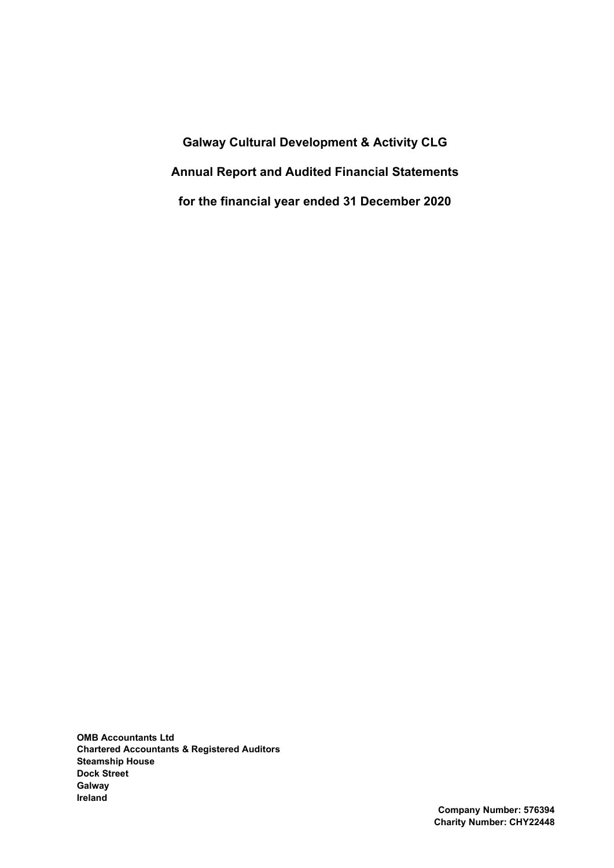Galway Cultural Development & Activity CLG Annual Report and Audited Financial Statements for the financial year ended 31 December 2020

OMB Accountants Ltd Chartered Accountants & Registered Auditors Steamship House Dock Street Galway Ireland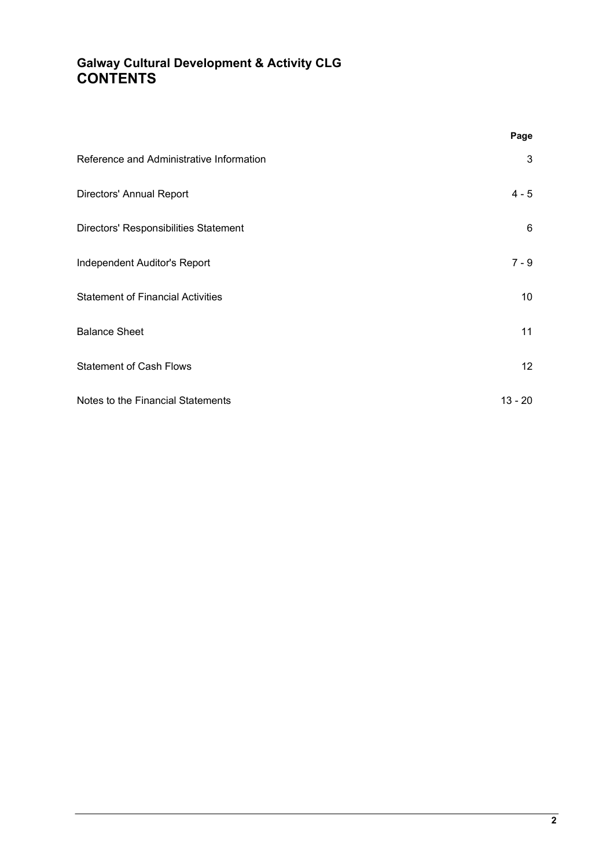# Galway Cultural Development & Activity CLG **CONTENTS**

|                                          | Page      |
|------------------------------------------|-----------|
| Reference and Administrative Information | 3         |
| Directors' Annual Report                 | $4 - 5$   |
| Directors' Responsibilities Statement    | 6         |
| Independent Auditor's Report             | $7 - 9$   |
| <b>Statement of Financial Activities</b> | 10        |
| <b>Balance Sheet</b>                     | 11        |
| <b>Statement of Cash Flows</b>           | 12        |
| Notes to the Financial Statements        | $13 - 20$ |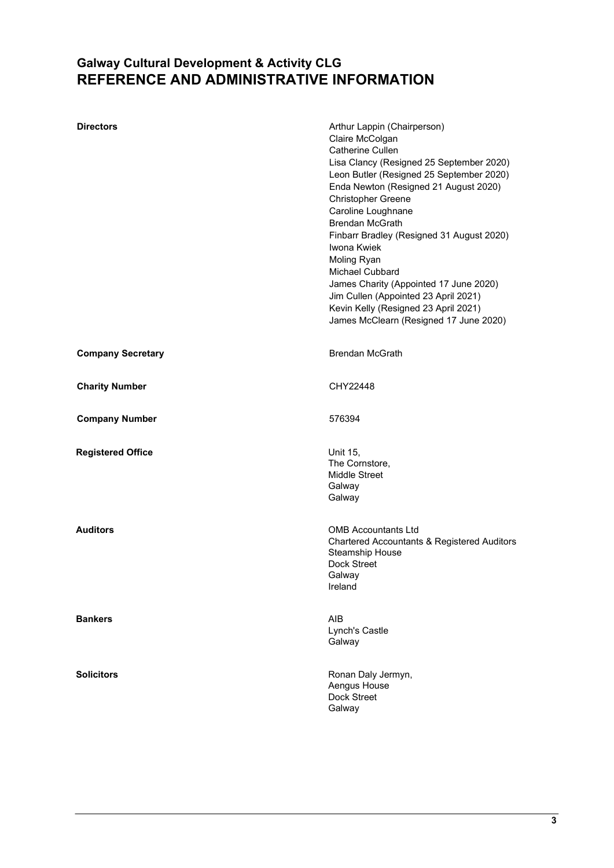# Galway Cultural Development & Activity CLG REFERENCE AND ADMINISTRATIVE INFORMATION

| <b>Directors</b>         | Arthur Lappin (Chairperson)<br>Claire McColgan<br><b>Catherine Cullen</b><br>Lisa Clancy (Resigned 25 September 2020)<br>Leon Butler (Resigned 25 September 2020)<br>Enda Newton (Resigned 21 August 2020)<br>Christopher Greene<br>Caroline Loughnane<br><b>Brendan McGrath</b><br>Finbarr Bradley (Resigned 31 August 2020)<br>Iwona Kwiek<br>Moling Ryan<br><b>Michael Cubbard</b><br>James Charity (Appointed 17 June 2020)<br>Jim Cullen (Appointed 23 April 2021)<br>Kevin Kelly (Resigned 23 April 2021)<br>James McClearn (Resigned 17 June 2020) |
|--------------------------|-----------------------------------------------------------------------------------------------------------------------------------------------------------------------------------------------------------------------------------------------------------------------------------------------------------------------------------------------------------------------------------------------------------------------------------------------------------------------------------------------------------------------------------------------------------|
| <b>Company Secretary</b> | <b>Brendan McGrath</b>                                                                                                                                                                                                                                                                                                                                                                                                                                                                                                                                    |
| <b>Charity Number</b>    | CHY22448                                                                                                                                                                                                                                                                                                                                                                                                                                                                                                                                                  |
| <b>Company Number</b>    | 576394                                                                                                                                                                                                                                                                                                                                                                                                                                                                                                                                                    |
| <b>Registered Office</b> | Unit 15,<br>The Cornstore,<br><b>Middle Street</b><br>Galway<br>Galway                                                                                                                                                                                                                                                                                                                                                                                                                                                                                    |
| <b>Auditors</b>          | <b>OMB Accountants Ltd</b><br><b>Chartered Accountants &amp; Registered Auditors</b><br>Steamship House<br>Dock Street<br>Galway<br>Ireland                                                                                                                                                                                                                                                                                                                                                                                                               |
| <b>Bankers</b>           | AIB<br>Lynch's Castle<br>Galway                                                                                                                                                                                                                                                                                                                                                                                                                                                                                                                           |
| <b>Solicitors</b>        | Ronan Daly Jermyn,<br>Aengus House<br>Dock Street<br>Galway                                                                                                                                                                                                                                                                                                                                                                                                                                                                                               |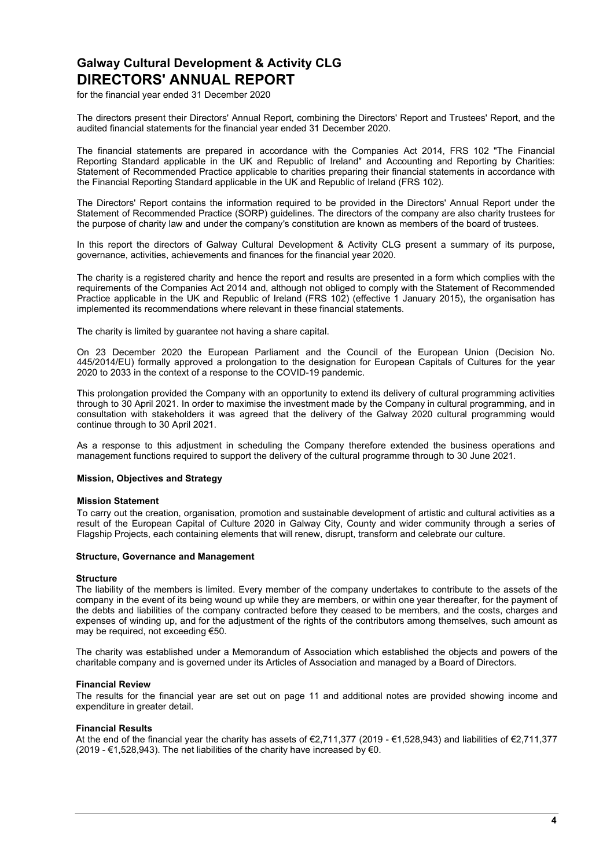# Galway Cultural Development & Activity CLG DIRECTORS' ANNUAL REPORT

for the financial year ended 31 December 2020

The directors present their Directors' Annual Report, combining the Directors' Report and Trustees' Report, and the audited financial statements for the financial year ended 31 December 2020.

The financial statements are prepared in accordance with the Companies Act 2014, FRS 102 "The Financial Reporting Standard applicable in the UK and Republic of Ireland" and Accounting and Reporting by Charities: Statement of Recommended Practice applicable to charities preparing their financial statements in accordance with the Financial Reporting Standard applicable in the UK and Republic of Ireland (FRS 102).

The Directors' Report contains the information required to be provided in the Directors' Annual Report under the Statement of Recommended Practice (SORP) guidelines. The directors of the company are also charity trustees for the purpose of charity law and under the company's constitution are known as members of the board of trustees.

In this report the directors of Galway Cultural Development & Activity CLG present a summary of its purpose, governance, activities, achievements and finances for the financial year 2020.

The charity is a registered charity and hence the report and results are presented in a form which complies with the requirements of the Companies Act 2014 and, although not obliged to comply with the Statement of Recommended Practice applicable in the UK and Republic of Ireland (FRS 102) (effective 1 January 2015), the organisation has implemented its recommendations where relevant in these financial statements.

The charity is limited by guarantee not having a share capital.

On 23 December 2020 the European Parliament and the Council of the European Union (Decision No. 445/2014/EU) formally approved a prolongation to the designation for European Capitals of Cultures for the year 2020 to 2033 in the context of a response to the COVID-19 pandemic.

This prolongation provided the Company with an opportunity to extend its delivery of cultural programming activities through to 30 April 2021. In order to maximise the investment made by the Company in cultural programming, and in consultation with stakeholders it was agreed that the delivery of the Galway 2020 cultural programming would continue through to 30 April 2021.

As a response to this adjustment in scheduling the Company therefore extended the business operations and management functions required to support the delivery of the cultural programme through to 30 June 2021.

### Mission, Objectives and Strategy

### Mission Statement

To carry out the creation, organisation, promotion and sustainable development of artistic and cultural activities as a result of the European Capital of Culture 2020 in Galway City, County and wider community through a series of Flagship Projects, each containing elements that will renew, disrupt, transform and celebrate our culture.

### Structure, Governance and Management

### **Structure**

The liability of the members is limited. Every member of the company undertakes to contribute to the assets of the company in the event of its being wound up while they are members, or within one year thereafter, for the payment of the debts and liabilities of the company contracted before they ceased to be members, and the costs, charges and expenses of winding up, and for the adjustment of the rights of the contributors among themselves, such amount as may be required, not exceeding €50.

The charity was established under a Memorandum of Association which established the objects and powers of the charitable company and is governed under its Articles of Association and managed by a Board of Directors.

### Financial Review

The results for the financial year are set out on page 11 and additional notes are provided showing income and expenditure in greater detail.

### Financial Results

At the end of the financial year the charity has assets of €2,711,377 (2019 - €1,528,943) and liabilities of €2,711,377 (2019 - €1,528,943). The net liabilities of the charity have increased by €0.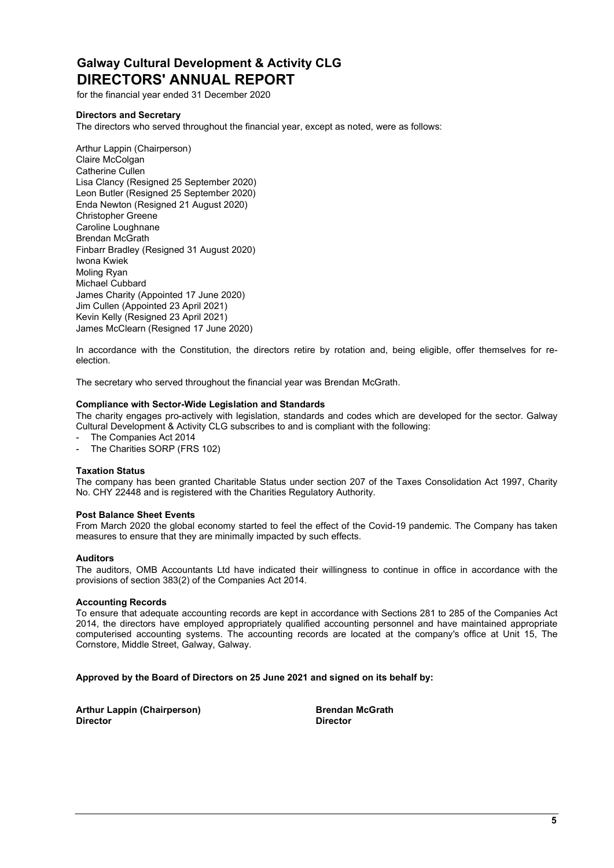# Galway Cultural Development & Activity CLG DIRECTORS' ANNUAL REPORT

for the financial year ended 31 December 2020

# Directors and Secretary

The directors who served throughout the financial year, except as noted, were as follows:

Arthur Lappin (Chairperson) Claire McColgan Catherine Cullen Lisa Clancy (Resigned 25 September 2020) Leon Butler (Resigned 25 September 2020) Enda Newton (Resigned 21 August 2020) Christopher Greene Caroline Loughnane Brendan McGrath Finbarr Bradley (Resigned 31 August 2020) Iwona Kwiek Moling Ryan Michael Cubbard James Charity (Appointed 17 June 2020) Jim Cullen (Appointed 23 April 2021) Kevin Kelly (Resigned 23 April 2021) James McClearn (Resigned 17 June 2020)

In accordance with the Constitution, the directors retire by rotation and, being eligible, offer themselves for reelection.

The secretary who served throughout the financial year was Brendan McGrath.

### Compliance with Sector-Wide Legislation and Standards

The charity engages pro-actively with legislation, standards and codes which are developed for the sector. Galway Cultural Development & Activity CLG subscribes to and is compliant with the following:

- The Companies Act 2014
- The Charities SORP (FRS 102)

### Taxation Status

The company has been granted Charitable Status under section 207 of the Taxes Consolidation Act 1997, Charity No. CHY 22448 and is registered with the Charities Regulatory Authority.

### Post Balance Sheet Events

From March 2020 the global economy started to feel the effect of the Covid-19 pandemic. The Company has taken measures to ensure that they are minimally impacted by such effects.

### Auditors

The auditors, OMB Accountants Ltd have indicated their willingness to continue in office in accordance with the provisions of section 383(2) of the Companies Act 2014.

### Accounting Records

To ensure that adequate accounting records are kept in accordance with Sections 281 to 285 of the Companies Act 2014, the directors have employed appropriately qualified accounting personnel and have maintained appropriate computerised accounting systems. The accounting records are located at the company's office at Unit 15, The Cornstore, Middle Street, Galway, Galway.

### Approved by the Board of Directors on 25 June 2021 and signed on its behalf by:

Arthur Lappin (Chairperson) and Brendan McGrath **Director** Director Director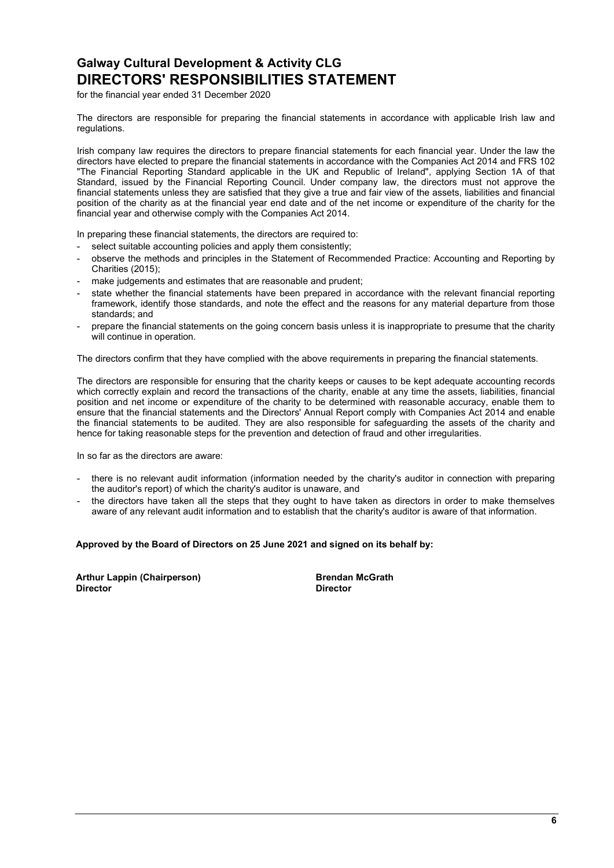# Galway Cultural Development & Activity CLG DIRECTORS' RESPONSIBILITIES STATEMENT

for the financial year ended 31 December 2020

The directors are responsible for preparing the financial statements in accordance with applicable Irish law and regulations.

Irish company law requires the directors to prepare financial statements for each financial year. Under the law the directors have elected to prepare the financial statements in accordance with the Companies Act 2014 and FRS 102 "The Financial Reporting Standard applicable in the UK and Republic of Ireland", applying Section 1A of that Standard, issued by the Financial Reporting Council. Under company law, the directors must not approve the financial statements unless they are satisfied that they give a true and fair view of the assets, liabilities and financial position of the charity as at the financial year end date and of the net income or expenditure of the charity for the financial year and otherwise comply with the Companies Act 2014.

In preparing these financial statements, the directors are required to:

- select suitable accounting policies and apply them consistently:
- observe the methods and principles in the Statement of Recommended Practice: Accounting and Reporting by Charities (2015);
- make judgements and estimates that are reasonable and prudent;
- state whether the financial statements have been prepared in accordance with the relevant financial reporting framework, identify those standards, and note the effect and the reasons for any material departure from those standards; and
- prepare the financial statements on the going concern basis unless it is inappropriate to presume that the charity will continue in operation.

The directors confirm that they have complied with the above requirements in preparing the financial statements.

The directors are responsible for ensuring that the charity keeps or causes to be kept adequate accounting records which correctly explain and record the transactions of the charity, enable at any time the assets, liabilities, financial position and net income or expenditure of the charity to be determined with reasonable accuracy, enable them to ensure that the financial statements and the Directors' Annual Report comply with Companies Act 2014 and enable the financial statements to be audited. They are also responsible for safeguarding the assets of the charity and hence for taking reasonable steps for the prevention and detection of fraud and other irregularities.

In so far as the directors are aware:

- there is no relevant audit information (information needed by the charity's auditor in connection with preparing the auditor's report) of which the charity's auditor is unaware, and
- the directors have taken all the steps that they ought to have taken as directors in order to make themselves aware of any relevant audit information and to establish that the charity's auditor is aware of that information.

### Approved by the Board of Directors on 25 June 2021 and signed on its behalf by:

Arthur Lappin (Chairperson) and the Second Brendan McGrath<br>Director birector **Director** Director Director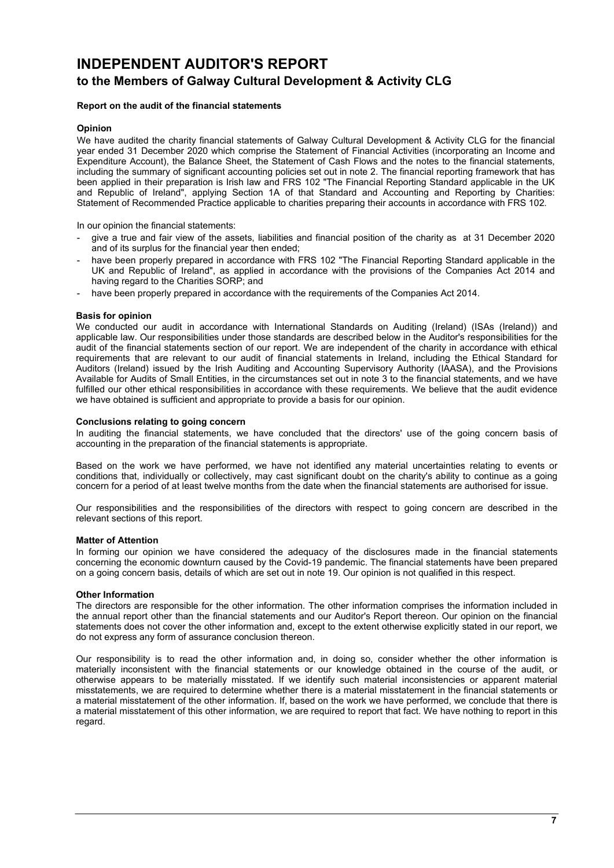# INDEPENDENT AUDITOR'S REPORT to the Members of Galway Cultural Development & Activity CLG

# Report on the audit of the financial statements

# Opinion

We have audited the charity financial statements of Galway Cultural Development & Activity CLG for the financial year ended 31 December 2020 which comprise the Statement of Financial Activities (incorporating an Income and Expenditure Account), the Balance Sheet, the Statement of Cash Flows and the notes to the financial statements, including the summary of significant accounting policies set out in note 2. The financial reporting framework that has been applied in their preparation is Irish law and FRS 102 "The Financial Reporting Standard applicable in the UK and Republic of Ireland", applying Section 1A of that Standard and Accounting and Reporting by Charities: Statement of Recommended Practice applicable to charities preparing their accounts in accordance with FRS 102.

In our opinion the financial statements:

- give a true and fair view of the assets, liabilities and financial position of the charity as at 31 December 2020 and of its surplus for the financial year then ended;
- have been properly prepared in accordance with FRS 102 "The Financial Reporting Standard applicable in the UK and Republic of Ireland", as applied in accordance with the provisions of the Companies Act 2014 and having regard to the Charities SORP; and
- have been properly prepared in accordance with the requirements of the Companies Act 2014.

### Basis for opinion

We conducted our audit in accordance with International Standards on Auditing (Ireland) (ISAs (Ireland)) and applicable law. Our responsibilities under those standards are described below in the Auditor's responsibilities for the audit of the financial statements section of our report. We are independent of the charity in accordance with ethical requirements that are relevant to our audit of financial statements in Ireland, including the Ethical Standard for Auditors (Ireland) issued by the Irish Auditing and Accounting Supervisory Authority (IAASA), and the Provisions Available for Audits of Small Entities, in the circumstances set out in note 3 to the financial statements, and we have fulfilled our other ethical responsibilities in accordance with these requirements. We believe that the audit evidence we have obtained is sufficient and appropriate to provide a basis for our opinion.

### Conclusions relating to going concern

In auditing the financial statements, we have concluded that the directors' use of the going concern basis of accounting in the preparation of the financial statements is appropriate.

Based on the work we have performed, we have not identified any material uncertainties relating to events or conditions that, individually or collectively, may cast significant doubt on the charity's ability to continue as a going concern for a period of at least twelve months from the date when the financial statements are authorised for issue.

Our responsibilities and the responsibilities of the directors with respect to going concern are described in the relevant sections of this report.

### Matter of Attention

In forming our opinion we have considered the adequacy of the disclosures made in the financial statements concerning the economic downturn caused by the Covid-19 pandemic. The financial statements have been prepared on a going concern basis, details of which are set out in note 19. Our opinion is not qualified in this respect.

### Other Information

The directors are responsible for the other information. The other information comprises the information included in the annual report other than the financial statements and our Auditor's Report thereon. Our opinion on the financial statements does not cover the other information and, except to the extent otherwise explicitly stated in our report, we do not express any form of assurance conclusion thereon.

Our responsibility is to read the other information and, in doing so, consider whether the other information is materially inconsistent with the financial statements or our knowledge obtained in the course of the audit, or otherwise appears to be materially misstated. If we identify such material inconsistencies or apparent material misstatements, we are required to determine whether there is a material misstatement in the financial statements or a material misstatement of the other information. If, based on the work we have performed, we conclude that there is a material misstatement of this other information, we are required to report that fact. We have nothing to report in this regard.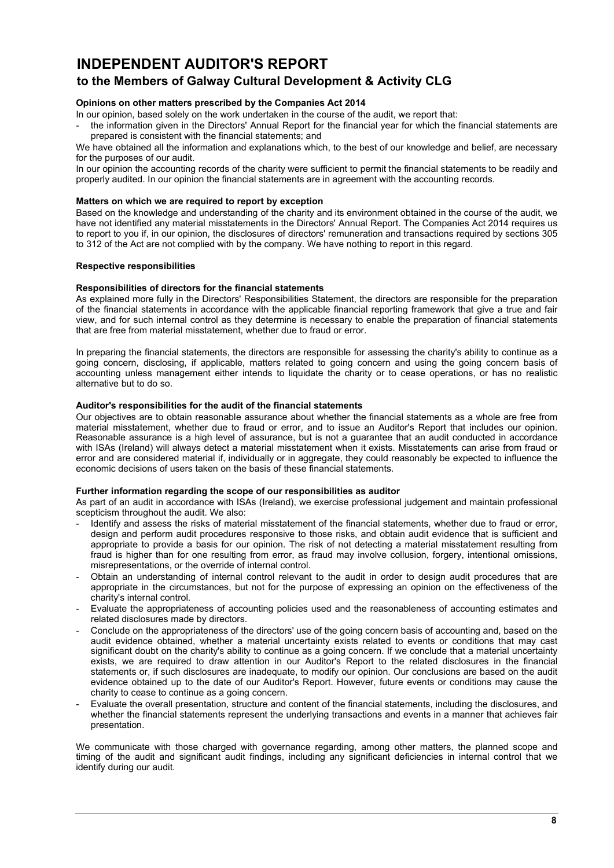# INDEPENDENT AUDITOR'S REPORT to the Members of Galway Cultural Development & Activity CLG

# Opinions on other matters prescribed by the Companies Act 2014

In our opinion, based solely on the work undertaken in the course of the audit, we report that:

the information given in the Directors' Annual Report for the financial year for which the financial statements are prepared is consistent with the financial statements; and

We have obtained all the information and explanations which, to the best of our knowledge and belief, are necessary for the purposes of our audit.

In our opinion the accounting records of the charity were sufficient to permit the financial statements to be readily and properly audited. In our opinion the financial statements are in agreement with the accounting records.

### Matters on which we are required to report by exception

Based on the knowledge and understanding of the charity and its environment obtained in the course of the audit, we have not identified any material misstatements in the Directors' Annual Report. The Companies Act 2014 requires us to report to you if, in our opinion, the disclosures of directors' remuneration and transactions required by sections 305 to 312 of the Act are not complied with by the company. We have nothing to report in this regard.

### Respective responsibilities

### Responsibilities of directors for the financial statements

As explained more fully in the Directors' Responsibilities Statement, the directors are responsible for the preparation of the financial statements in accordance with the applicable financial reporting framework that give a true and fair view, and for such internal control as they determine is necessary to enable the preparation of financial statements that are free from material misstatement, whether due to fraud or error.

In preparing the financial statements, the directors are responsible for assessing the charity's ability to continue as a going concern, disclosing, if applicable, matters related to going concern and using the going concern basis of accounting unless management either intends to liquidate the charity or to cease operations, or has no realistic alternative but to do so.

#### Auditor's responsibilities for the audit of the financial statements

Our objectives are to obtain reasonable assurance about whether the financial statements as a whole are free from material misstatement, whether due to fraud or error, and to issue an Auditor's Report that includes our opinion. Reasonable assurance is a high level of assurance, but is not a guarantee that an audit conducted in accordance with ISAs (Ireland) will always detect a material misstatement when it exists. Misstatements can arise from fraud or error and are considered material if, individually or in aggregate, they could reasonably be expected to influence the economic decisions of users taken on the basis of these financial statements.

#### Further information regarding the scope of our responsibilities as auditor

As part of an audit in accordance with ISAs (Ireland), we exercise professional judgement and maintain professional scepticism throughout the audit. We also:

- Identify and assess the risks of material misstatement of the financial statements, whether due to fraud or error, design and perform audit procedures responsive to those risks, and obtain audit evidence that is sufficient and appropriate to provide a basis for our opinion. The risk of not detecting a material misstatement resulting from fraud is higher than for one resulting from error, as fraud may involve collusion, forgery, intentional omissions, misrepresentations, or the override of internal control.
- Obtain an understanding of internal control relevant to the audit in order to design audit procedures that are appropriate in the circumstances, but not for the purpose of expressing an opinion on the effectiveness of the charity's internal control.
- Evaluate the appropriateness of accounting policies used and the reasonableness of accounting estimates and related disclosures made by directors.
- Conclude on the appropriateness of the directors' use of the going concern basis of accounting and, based on the audit evidence obtained, whether a material uncertainty exists related to events or conditions that may cast significant doubt on the charity's ability to continue as a going concern. If we conclude that a material uncertainty exists, we are required to draw attention in our Auditor's Report to the related disclosures in the financial statements or, if such disclosures are inadequate, to modify our opinion. Our conclusions are based on the audit evidence obtained up to the date of our Auditor's Report. However, future events or conditions may cause the charity to cease to continue as a going concern.
- Evaluate the overall presentation, structure and content of the financial statements, including the disclosures, and whether the financial statements represent the underlying transactions and events in a manner that achieves fair presentation.

We communicate with those charged with governance regarding, among other matters, the planned scope and timing of the audit and significant audit findings, including any significant deficiencies in internal control that we identify during our audit.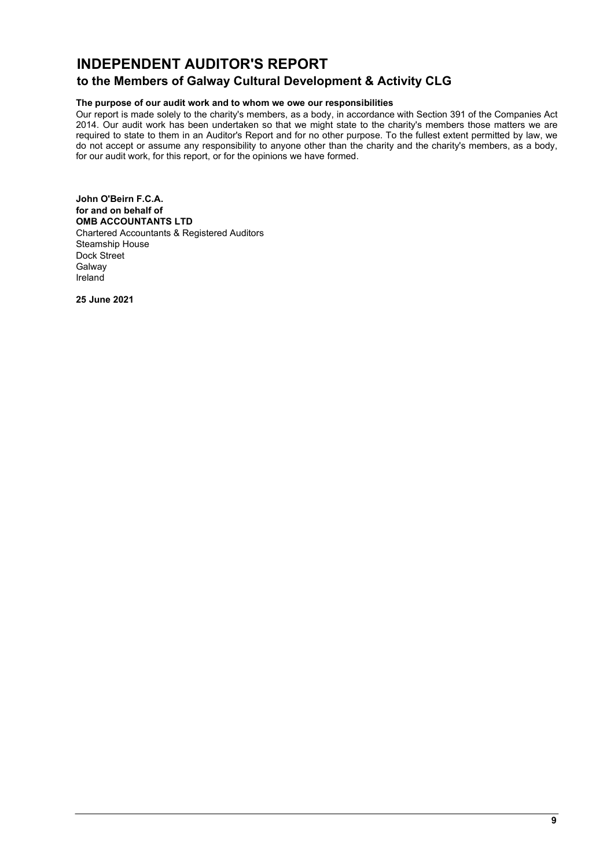# INDEPENDENT AUDITOR'S REPORT

# to the Members of Galway Cultural Development & Activity CLG

# The purpose of our audit work and to whom we owe our responsibilities

Our report is made solely to the charity's members, as a body, in accordance with Section 391 of the Companies Act 2014. Our audit work has been undertaken so that we might state to the charity's members those matters we are required to state to them in an Auditor's Report and for no other purpose. To the fullest extent permitted by law, we do not accept or assume any responsibility to anyone other than the charity and the charity's members, as a body, for our audit work, for this report, or for the opinions we have formed.

John O'Beirn F.C.A. for and on behalf of OMB ACCOUNTANTS LTD Chartered Accountants & Registered Auditors Steamship House Dock Street Galway Ireland

25 June 2021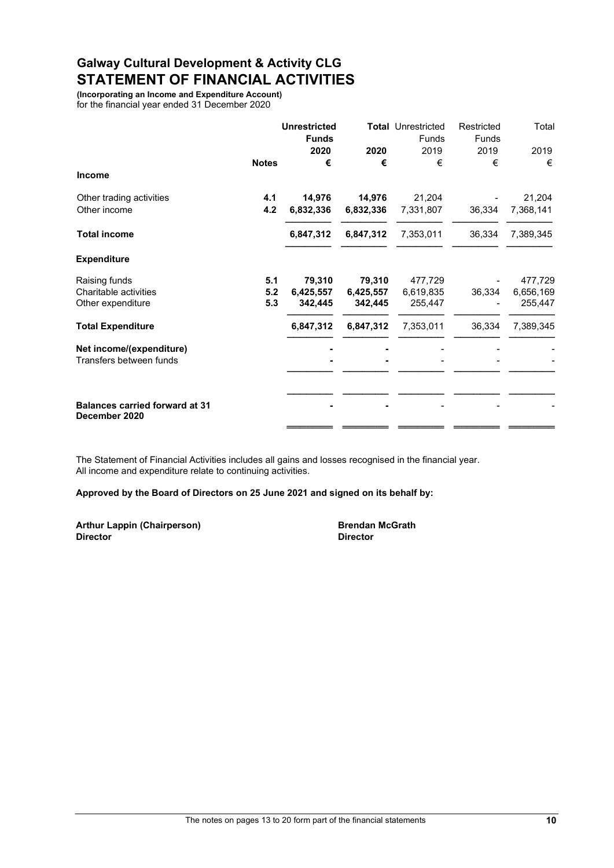# Galway Cultural Development & Activity CLG STATEMENT OF FINANCIAL ACTIVITIES

(Incorporating an Income and Expenditure Account) for the financial year ended 31 December 2020

|                                                        |              | <b>Unrestricted</b><br><b>Funds</b> |           | <b>Total Unrestricted</b><br>Funds | Restricted<br><b>Funds</b> | Total     |
|--------------------------------------------------------|--------------|-------------------------------------|-----------|------------------------------------|----------------------------|-----------|
|                                                        |              | 2020                                | 2020      | 2019                               | 2019                       | 2019      |
| <b>Income</b>                                          | <b>Notes</b> | €                                   | €         | €                                  | €                          | €         |
| Other trading activities                               | 4.1          | 14,976                              | 14,976    | 21,204                             |                            | 21,204    |
| Other income                                           | 4.2          | 6,832,336                           | 6,832,336 | 7,331,807                          | 36,334                     | 7,368,141 |
| <b>Total income</b>                                    |              | 6,847,312                           | 6,847,312 | 7,353,011                          | 36,334                     | 7,389,345 |
| <b>Expenditure</b>                                     |              |                                     |           |                                    |                            |           |
| Raising funds                                          | 5.1          | 79,310                              | 79,310    | 477,729                            |                            | 477,729   |
| Charitable activities                                  | 5.2          | 6,425,557                           | 6,425,557 | 6,619,835                          | 36,334                     | 6,656,169 |
| Other expenditure                                      | 5.3          | 342,445                             | 342,445   | 255,447                            |                            | 255,447   |
| <b>Total Expenditure</b>                               |              | 6,847,312                           | 6,847,312 | 7,353,011                          | 36,334                     | 7,389,345 |
| Net income/(expenditure)<br>Transfers between funds    |              |                                     |           |                                    |                            |           |
| <b>Balances carried forward at 31</b><br>December 2020 |              |                                     |           |                                    |                            |           |

The Statement of Financial Activities includes all gains and losses recognised in the financial year. All income and expenditure relate to continuing activities.

# Approved by the Board of Directors on 25 June 2021 and signed on its behalf by:

Arthur Lappin (Chairperson) and the State Brendan McGrath<br>
Director<br>
Director Director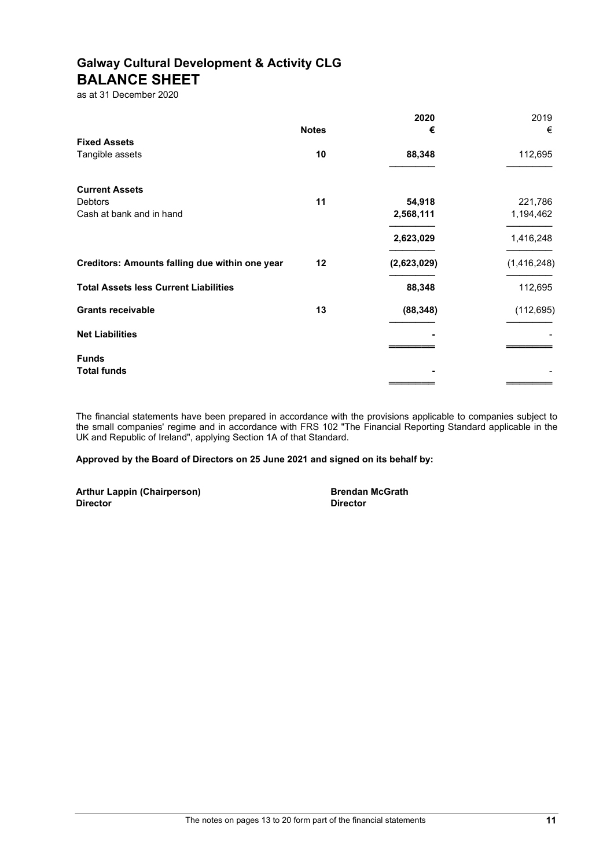# Galway Cultural Development & Activity CLG BALANCE SHEET

as at 31 December 2020

|                                                |              | 2020        | 2019        |
|------------------------------------------------|--------------|-------------|-------------|
|                                                | <b>Notes</b> | €           | €           |
| <b>Fixed Assets</b>                            |              |             |             |
| Tangible assets                                | 10           | 88,348      | 112,695     |
| <b>Current Assets</b>                          |              |             |             |
| <b>Debtors</b>                                 | 11           | 54,918      | 221,786     |
| Cash at bank and in hand                       |              | 2,568,111   | 1,194,462   |
|                                                |              | 2,623,029   | 1,416,248   |
| Creditors: Amounts falling due within one year | 12           | (2,623,029) | (1,416,248) |
| <b>Total Assets less Current Liabilities</b>   |              | 88,348      | 112,695     |
| <b>Grants receivable</b>                       | 13           | (88, 348)   | (112, 695)  |
| <b>Net Liabilities</b>                         |              |             |             |
| <b>Funds</b>                                   |              |             |             |
| <b>Total funds</b>                             |              |             |             |
|                                                |              |             |             |

The financial statements have been prepared in accordance with the provisions applicable to companies subject to the small companies' regime and in accordance with FRS 102 "The Financial Reporting Standard applicable in the UK and Republic of Ireland", applying Section 1A of that Standard.

Approved by the Board of Directors on 25 June 2021 and signed on its behalf by:

Arthur Lappin (Chairperson) and Brendan McGrath Brendan McGrath<br>
Director **Director**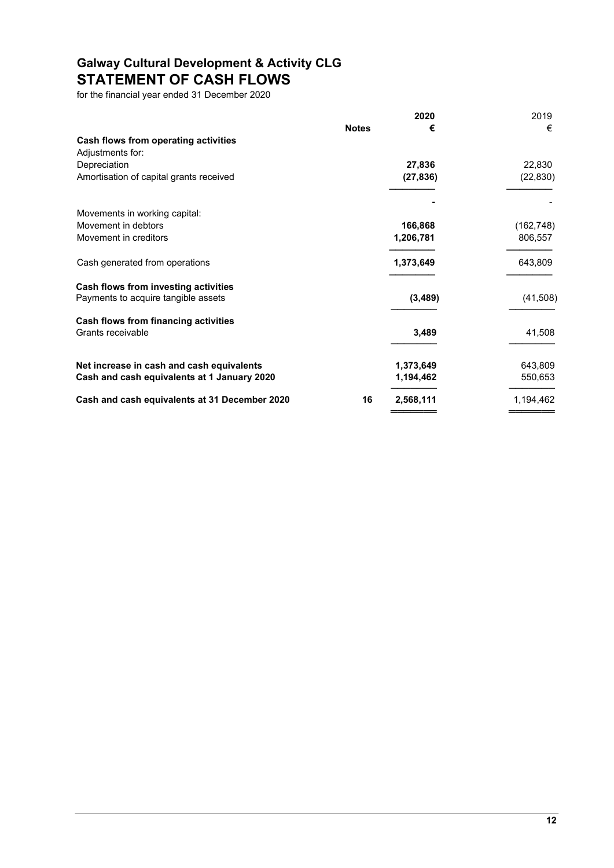# Galway Cultural Development & Activity CLG STATEMENT OF CASH FLOWS

for the financial year ended 31 December 2020

|                                               |              | 2020      | 2019       |
|-----------------------------------------------|--------------|-----------|------------|
|                                               | <b>Notes</b> | €         | €          |
| Cash flows from operating activities          |              |           |            |
| Adjustments for:                              |              |           |            |
| Depreciation                                  |              | 27,836    | 22,830     |
| Amortisation of capital grants received       |              | (27, 836) | (22, 830)  |
|                                               |              |           |            |
| Movements in working capital:                 |              |           |            |
| Movement in debtors                           |              | 166,868   | (162, 748) |
| Movement in creditors                         |              | 1,206,781 | 806,557    |
| Cash generated from operations                |              | 1,373,649 | 643,809    |
| Cash flows from investing activities          |              |           |            |
| Payments to acquire tangible assets           |              | (3,489)   | (41,508)   |
| Cash flows from financing activities          |              |           |            |
| Grants receivable                             |              | 3,489     | 41,508     |
| Net increase in cash and cash equivalents     |              | 1,373,649 | 643,809    |
| Cash and cash equivalents at 1 January 2020   |              | 1,194,462 | 550,653    |
| Cash and cash equivalents at 31 December 2020 | 16           | 2,568,111 | 1,194,462  |
|                                               |              |           |            |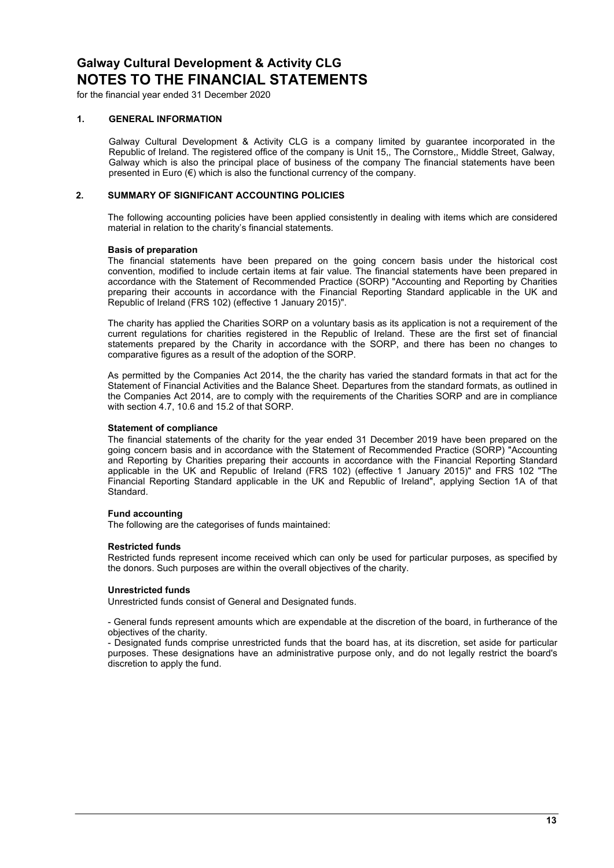for the financial year ended 31 December 2020

### 1. GENERAL INFORMATION

Galway Cultural Development & Activity CLG is a company limited by guarantee incorporated in the Republic of Ireland. The registered office of the company is Unit 15,, The Cornstore,, Middle Street, Galway, Galway which is also the principal place of business of the company The financial statements have been presented in Euro (€) which is also the functional currency of the company.

# 2. SUMMARY OF SIGNIFICANT ACCOUNTING POLICIES

The following accounting policies have been applied consistently in dealing with items which are considered material in relation to the charity's financial statements.

### Basis of preparation

The financial statements have been prepared on the going concern basis under the historical cost convention, modified to include certain items at fair value. The financial statements have been prepared in accordance with the Statement of Recommended Practice (SORP) "Accounting and Reporting by Charities preparing their accounts in accordance with the Financial Reporting Standard applicable in the UK and Republic of Ireland (FRS 102) (effective 1 January 2015)".

The charity has applied the Charities SORP on a voluntary basis as its application is not a requirement of the current regulations for charities registered in the Republic of Ireland. These are the first set of financial statements prepared by the Charity in accordance with the SORP, and there has been no changes to comparative figures as a result of the adoption of the SORP.

As permitted by the Companies Act 2014, the the charity has varied the standard formats in that act for the Statement of Financial Activities and the Balance Sheet. Departures from the standard formats, as outlined in the Companies Act 2014, are to comply with the requirements of the Charities SORP and are in compliance with section 4.7, 10.6 and 15.2 of that SORP.

### Statement of compliance

The financial statements of the charity for the year ended 31 December 2019 have been prepared on the going concern basis and in accordance with the Statement of Recommended Practice (SORP) "Accounting and Reporting by Charities preparing their accounts in accordance with the Financial Reporting Standard applicable in the UK and Republic of Ireland (FRS 102) (effective 1 January 2015)" and FRS 102 "The Financial Reporting Standard applicable in the UK and Republic of Ireland", applying Section 1A of that Standard.

### Fund accounting

The following are the categorises of funds maintained:

### Restricted funds

Restricted funds represent income received which can only be used for particular purposes, as specified by the donors. Such purposes are within the overall objectives of the charity.

### Unrestricted funds

Unrestricted funds consist of General and Designated funds.

- General funds represent amounts which are expendable at the discretion of the board, in furtherance of the objectives of the charity.

- Designated funds comprise unrestricted funds that the board has, at its discretion, set aside for particular purposes. These designations have an administrative purpose only, and do not legally restrict the board's discretion to apply the fund.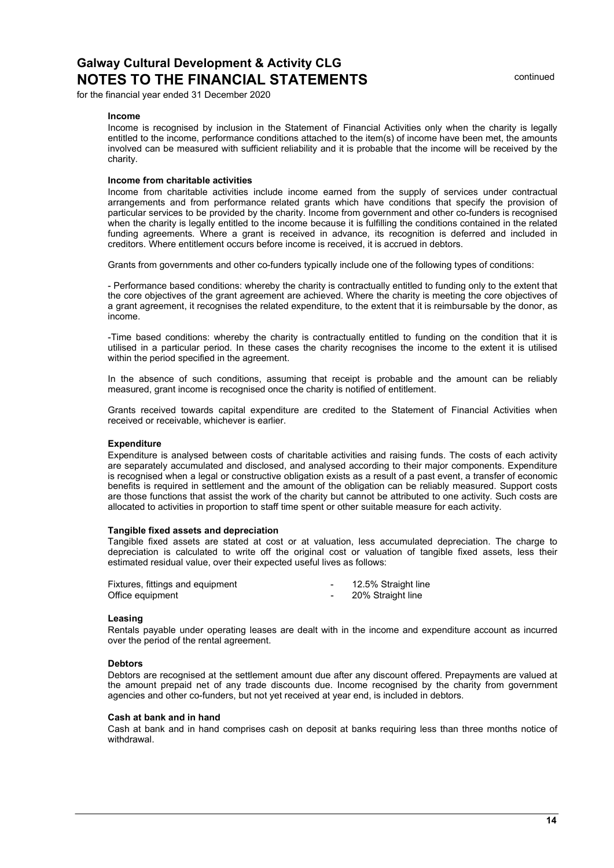for the financial year ended 31 December 2020

#### Income

Income is recognised by inclusion in the Statement of Financial Activities only when the charity is legally entitled to the income, performance conditions attached to the item(s) of income have been met, the amounts involved can be measured with sufficient reliability and it is probable that the income will be received by the charity.

### Income from charitable activities

Income from charitable activities include income earned from the supply of services under contractual arrangements and from performance related grants which have conditions that specify the provision of particular services to be provided by the charity. Income from government and other co-funders is recognised when the charity is legally entitled to the income because it is fulfilling the conditions contained in the related funding agreements. Where a grant is received in advance, its recognition is deferred and included in creditors. Where entitlement occurs before income is received, it is accrued in debtors.

Grants from governments and other co-funders typically include one of the following types of conditions:

- Performance based conditions: whereby the charity is contractually entitled to funding only to the extent that the core objectives of the grant agreement are achieved. Where the charity is meeting the core objectives of a grant agreement, it recognises the related expenditure, to the extent that it is reimbursable by the donor, as income.

-Time based conditions: whereby the charity is contractually entitled to funding on the condition that it is utilised in a particular period. In these cases the charity recognises the income to the extent it is utilised within the period specified in the agreement.

In the absence of such conditions, assuming that receipt is probable and the amount can be reliably measured, grant income is recognised once the charity is notified of entitlement.

Grants received towards capital expenditure are credited to the Statement of Financial Activities when received or receivable, whichever is earlier.

### **Expenditure**

Expenditure is analysed between costs of charitable activities and raising funds. The costs of each activity are separately accumulated and disclosed, and analysed according to their major components. Expenditure is recognised when a legal or constructive obligation exists as a result of a past event, a transfer of economic benefits is required in settlement and the amount of the obligation can be reliably measured. Support costs are those functions that assist the work of the charity but cannot be attributed to one activity. Such costs are allocated to activities in proportion to staff time spent or other suitable measure for each activity.

#### Tangible fixed assets and depreciation

Tangible fixed assets are stated at cost or at valuation, less accumulated depreciation. The charge to depreciation is calculated to write off the original cost or valuation of tangible fixed assets, less their estimated residual value, over their expected useful lives as follows:

| Fixtures, fittings and equipment | 12.5% Straight line |
|----------------------------------|---------------------|
| Office equipment                 | 20% Straight line   |

#### Leasing

Rentals payable under operating leases are dealt with in the income and expenditure account as incurred over the period of the rental agreement.

#### **Debtors**

Debtors are recognised at the settlement amount due after any discount offered. Prepayments are valued at the amount prepaid net of any trade discounts due. Income recognised by the charity from government agencies and other co-funders, but not yet received at year end, is included in debtors.

#### Cash at bank and in hand

Cash at bank and in hand comprises cash on deposit at banks requiring less than three months notice of withdrawal.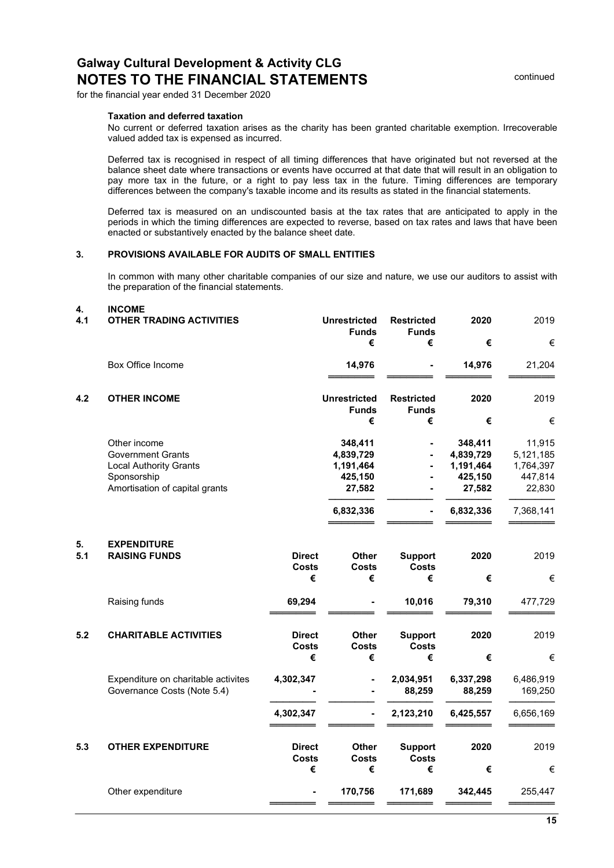for the financial year ended 31 December 2020

#### Taxation and deferred taxation

No current or deferred taxation arises as the charity has been granted charitable exemption. Irrecoverable valued added tax is expensed as incurred.

Deferred tax is recognised in respect of all timing differences that have originated but not reversed at the balance sheet date where transactions or events have occurred at that date that will result in an obligation to pay more tax in the future, or a right to pay less tax in the future. Timing differences are temporary differences between the company's taxable income and its results as stated in the financial statements.

Deferred tax is measured on an undiscounted basis at the tax rates that are anticipated to apply in the periods in which the timing differences are expected to reverse, based on tax rates and laws that have been enacted or substantively enacted by the balance sheet date.

# 3. PROVISIONS AVAILABLE FOR AUDITS OF SMALL ENTITIES

In common with many other charitable companies of our size and nature, we use our auditors to assist with the preparation of the financial statements.

#### 4. INCOME

| 4.1       | <b>OTHER TRADING ACTIVITIES</b>                                                                                            |                                    | <b>Unrestricted</b><br><b>Funds</b><br>€                            | <b>Restricted</b><br><b>Funds</b><br>€ | 2020<br>€                                                           | 2019<br>€                                                          |
|-----------|----------------------------------------------------------------------------------------------------------------------------|------------------------------------|---------------------------------------------------------------------|----------------------------------------|---------------------------------------------------------------------|--------------------------------------------------------------------|
|           | Box Office Income                                                                                                          |                                    | 14,976                                                              |                                        | 14,976                                                              | 21,204                                                             |
| 4.2       | <b>OTHER INCOME</b>                                                                                                        |                                    | <b>Unrestricted</b><br><b>Funds</b>                                 | <b>Restricted</b><br><b>Funds</b>      | 2020                                                                | 2019                                                               |
|           |                                                                                                                            |                                    | €                                                                   | €                                      | €                                                                   | €                                                                  |
|           | Other income<br><b>Government Grants</b><br><b>Local Authority Grants</b><br>Sponsorship<br>Amortisation of capital grants |                                    | 348,411<br>4,839,729<br>1,191,464<br>425,150<br>27,582<br>6,832,336 | $\blacksquare$                         | 348,411<br>4,839,729<br>1,191,464<br>425,150<br>27,582<br>6,832,336 | 11,915<br>5,121,185<br>1,764,397<br>447,814<br>22,830<br>7,368,141 |
| 5.<br>5.1 | <b>EXPENDITURE</b><br><b>RAISING FUNDS</b>                                                                                 | <b>Direct</b><br><b>Costs</b><br>€ | Other<br><b>Costs</b><br>€                                          | <b>Support</b><br><b>Costs</b><br>€    | 2020<br>€                                                           | 2019<br>€                                                          |
|           | Raising funds                                                                                                              | 69,294                             |                                                                     | 10,016                                 | 79,310                                                              | 477,729                                                            |
| 5.2       | <b>CHARITABLE ACTIVITIES</b>                                                                                               | <b>Direct</b><br><b>Costs</b><br>€ | Other<br><b>Costs</b><br>€                                          | <b>Support</b><br><b>Costs</b><br>€    | 2020<br>€                                                           | 2019<br>€                                                          |
|           | Expenditure on charitable activites<br>Governance Costs (Note 5.4)                                                         | 4,302,347                          |                                                                     | 2,034,951<br>88,259                    | 6,337,298<br>88,259                                                 | 6,486,919<br>169,250                                               |
|           |                                                                                                                            | 4,302,347                          |                                                                     | 2,123,210                              | 6,425,557                                                           | 6,656,169                                                          |
| 5.3       | <b>OTHER EXPENDITURE</b>                                                                                                   | <b>Direct</b><br><b>Costs</b><br>€ | <b>Other</b><br>Costs<br>€                                          | <b>Support</b><br><b>Costs</b><br>€    | 2020<br>€                                                           | 2019<br>€                                                          |
|           | Other expenditure                                                                                                          |                                    | 170,756                                                             | 171,689                                | 342,445                                                             | 255,447                                                            |
|           |                                                                                                                            |                                    |                                                                     |                                        |                                                                     |                                                                    |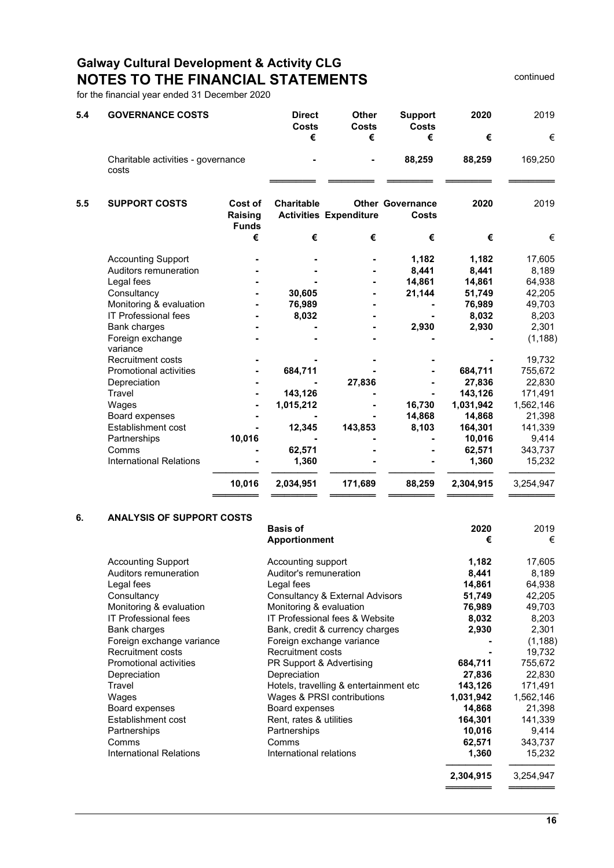# Galway Cultural Development & Activity CLG NOTES TO THE FINANCIAL STATEMENTS **EXAMPLE STATEMENTS** continued

for the financial year ended 31 December 2020

| 5.4 | <b>GOVERNANCE COSTS</b>                     |                    | <b>Direct</b><br><b>Costs</b><br>€ | <b>Other</b><br>Costs<br>€    | <b>Support</b><br><b>Costs</b><br>€     | 2020<br>€ | 2019<br>€ |
|-----|---------------------------------------------|--------------------|------------------------------------|-------------------------------|-----------------------------------------|-----------|-----------|
|     |                                             |                    |                                    |                               |                                         |           |           |
|     | Charitable activities - governance<br>costs |                    |                                    |                               | 88,259                                  | 88,259    | 169,250   |
|     |                                             |                    |                                    |                               |                                         |           |           |
| 5.5 | <b>SUPPORT COSTS</b>                        | Cost of<br>Raising | <b>Charitable</b>                  | <b>Activities Expenditure</b> | <b>Other Governance</b><br><b>Costs</b> | 2020      | 2019      |
|     |                                             | <b>Funds</b>       |                                    |                               |                                         |           |           |
|     |                                             | €                  | €                                  | €                             | €                                       | €         | €         |
|     | <b>Accounting Support</b>                   |                    |                                    |                               | 1,182                                   | 1,182     | 17,605    |
|     | Auditors remuneration                       |                    |                                    |                               | 8,441                                   | 8,441     | 8,189     |
|     | Legal fees                                  |                    |                                    |                               | 14,861                                  | 14,861    | 64,938    |
|     | Consultancy                                 |                    | 30,605                             |                               | 21,144                                  | 51,749    | 42,205    |
|     | Monitoring & evaluation                     |                    | 76,989                             |                               |                                         | 76,989    | 49,703    |
|     | <b>IT Professional fees</b>                 |                    | 8,032                              |                               |                                         | 8,032     | 8,203     |
|     | Bank charges                                |                    |                                    |                               | 2,930                                   | 2,930     | 2,301     |
|     | Foreign exchange<br>variance                |                    |                                    |                               |                                         |           | (1, 188)  |
|     | Recruitment costs                           |                    |                                    |                               |                                         |           | 19,732    |
|     | Promotional activities                      |                    | 684,711                            |                               |                                         | 684,711   | 755,672   |
|     | Depreciation                                |                    |                                    | 27,836                        |                                         | 27,836    | 22,830    |
|     | Travel                                      |                    | 143,126                            |                               |                                         | 143,126   | 171,491   |
|     | Wages                                       |                    | 1,015,212                          |                               | 16,730                                  | 1,031,942 | 1,562,146 |
|     | Board expenses                              |                    |                                    |                               | 14,868                                  | 14,868    | 21,398    |
|     | Establishment cost                          |                    | 12,345                             | 143,853                       | 8,103                                   | 164,301   | 141,339   |
|     | Partnerships                                | 10,016             |                                    |                               |                                         | 10,016    | 9,414     |
|     | Comms                                       |                    | 62,571                             |                               |                                         | 62,571    | 343,737   |
|     | <b>International Relations</b>              |                    | 1,360                              |                               |                                         | 1,360     | 15,232    |
|     |                                             | 10,016             | 2,034,951                          | 171,689                       | 88,259                                  | 2,304,915 | 3,254,947 |
|     |                                             |                    |                                    |                               |                                         |           |           |

# 6. ANALYSIS OF SUPPORT COSTS

|                             | <b>Basis of</b><br><b>Apportionment</b> | 2020<br>€ | 2019<br>€ |
|-----------------------------|-----------------------------------------|-----------|-----------|
| <b>Accounting Support</b>   | Accounting support                      | 1,182     | 17,605    |
| Auditors remuneration       | Auditor's remuneration                  | 8,441     | 8,189     |
| Legal fees                  | Legal fees                              | 14,861    | 64,938    |
| Consultancy                 | Consultancy & External Advisors         | 51,749    | 42,205    |
| Monitoring & evaluation     | Monitoring & evaluation                 | 76,989    | 49,703    |
| <b>IT Professional fees</b> | IT Professional fees & Website          | 8,032     | 8,203     |
| Bank charges                | Bank, credit & currency charges         | 2,930     | 2,301     |
| Foreign exchange variance   | Foreign exchange variance               |           | (1, 188)  |
| <b>Recruitment costs</b>    | <b>Recruitment costs</b>                |           | 19,732    |
| Promotional activities      | PR Support & Advertising                | 684,711   | 755,672   |
| Depreciation                | Depreciation                            | 27,836    | 22,830    |
| Travel                      | Hotels, travelling & entertainment etc  | 143,126   | 171,491   |
| Wages                       | Wages & PRSI contributions              | 1,031,942 | 1,562,146 |
| Board expenses              | Board expenses                          | 14,868    | 21,398    |
| Establishment cost          | Rent, rates & utilities                 | 164,301   | 141,339   |
| Partnerships                | Partnerships                            | 10,016    | 9,414     |
| Comms                       | Comms                                   | 62,571    | 343,737   |
| International Relations     | International relations                 | 1,360     | 15,232    |
|                             |                                         | 2,304,915 | 3,254,947 |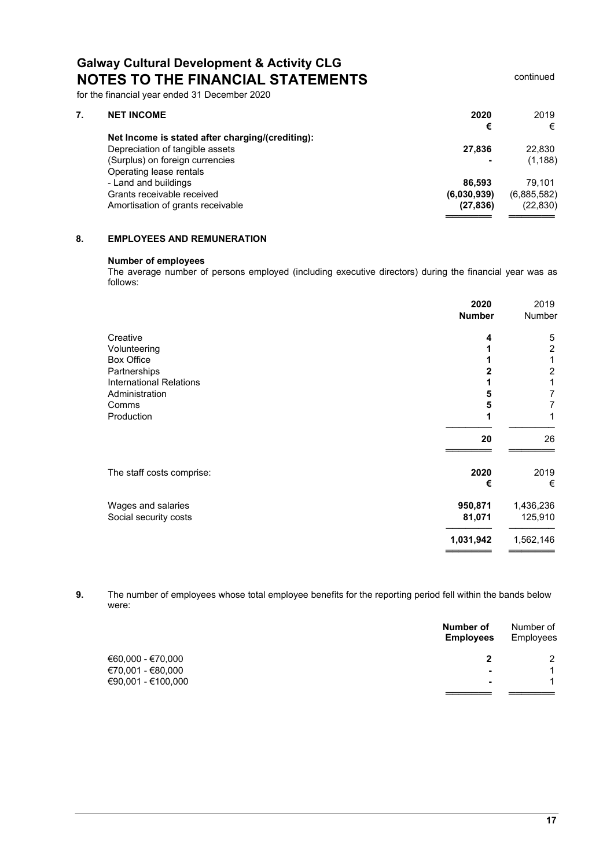# Galway Cultural Development & Activity CLG NOTES TO THE FINANCIAL STATEMENTS **EXAMPLE STATEMENTS** continued

for the financial year ended 31 December 2020

| <b>NET INCOME</b>                                | 2020        | 2019        |
|--------------------------------------------------|-------------|-------------|
|                                                  | €           | €           |
| Net Income is stated after charging/(crediting): |             |             |
| Depreciation of tangible assets                  | 27,836      | 22,830      |
| (Surplus) on foreign currencies                  |             | (1, 188)    |
| Operating lease rentals                          |             |             |
| - Land and buildings                             | 86.593      | 79.101      |
| Grants receivable received                       | (6,030,939) | (6,885,582) |
| Amortisation of grants receivable                | (27, 836)   | (22, 830)   |
|                                                  |             |             |

# 8. EMPLOYEES AND REMUNERATION

# Number of employees

The average number of persons employed (including executive directors) during the financial year was as follows:

|                                | 2020<br><b>Number</b> | 2019<br>Number |
|--------------------------------|-----------------------|----------------|
| Creative                       | 4                     | 5              |
| Volunteering                   |                       | $\overline{2}$ |
| <b>Box Office</b>              |                       | 1              |
| Partnerships                   |                       | $\overline{2}$ |
| <b>International Relations</b> |                       | 1              |
| Administration                 | 5                     | 7              |
| Comms                          | 5                     | 7              |
| Production                     |                       | 1              |
|                                | 20                    | 26             |
| The staff costs comprise:      | 2020                  | 2019           |
|                                | €                     | €              |
| Wages and salaries             | 950,871               | 1,436,236      |
| Social security costs          | 81,071                | 125,910        |
|                                | 1,031,942             | 1,562,146      |
|                                |                       |                |

9. The number of employees whose total employee benefits for the reporting period fell within the bands below were:

|                    | Number of<br><b>Employees</b> | Number of<br>Employees |
|--------------------|-------------------------------|------------------------|
| €60,000 - €70,000  |                               | 2                      |
| €70,001 - €80,000  | $\overline{\phantom{0}}$      |                        |
| €90,001 - €100,000 | $\overline{\phantom{0}}$      |                        |
|                    |                               |                        |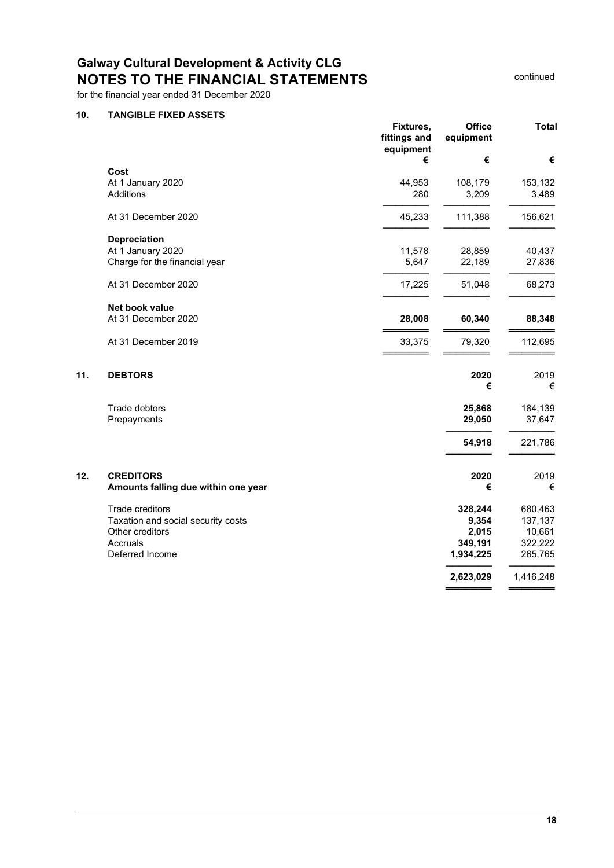# Galway Cultural Development & Activity CLG NOTES TO THE FINANCIAL STATEMENTS FOR THE STATEMENTS

# for the financial year ended 31 December 2020

# 10. TANGIBLE FIXED ASSETS

|     |                                     | Fixtures,<br>fittings and<br>equipment | <b>Office</b><br>equipment | <b>Total</b> |
|-----|-------------------------------------|----------------------------------------|----------------------------|--------------|
|     |                                     | €                                      | €                          | €            |
|     | Cost                                |                                        |                            |              |
|     | At 1 January 2020                   | 44,953                                 | 108,179                    | 153,132      |
|     | Additions                           | 280                                    | 3,209                      | 3,489        |
|     | At 31 December 2020                 | 45,233                                 | 111,388                    | 156,621      |
|     | Depreciation                        |                                        |                            |              |
|     | At 1 January 2020                   | 11,578                                 | 28,859                     | 40,437       |
|     | Charge for the financial year       | 5,647                                  | 22,189                     | 27,836       |
|     | At 31 December 2020                 | 17,225                                 | 51,048                     | 68,273       |
|     | Net book value                      |                                        |                            |              |
|     | At 31 December 2020                 | 28,008                                 | 60,340                     | 88,348       |
|     | At 31 December 2019                 | 33,375                                 | 79,320                     | 112,695      |
| 11. | <b>DEBTORS</b>                      |                                        | 2020                       | 2019         |
|     |                                     |                                        | €                          | €            |
|     | Trade debtors                       |                                        | 25,868                     | 184,139      |
|     | Prepayments                         |                                        | 29,050                     | 37,647       |
|     |                                     |                                        | 54,918                     | 221,786      |
| 12. | <b>CREDITORS</b>                    |                                        | 2020                       | 2019         |
|     | Amounts falling due within one year |                                        | €                          | €            |
|     | Trade creditors                     |                                        | 328,244                    | 680,463      |
|     | Taxation and social security costs  |                                        | 9,354                      | 137,137      |
|     | Other creditors                     |                                        | 2,015                      | 10,661       |
|     | Accruals                            |                                        | 349,191                    | 322,222      |
|     | Deferred Income                     |                                        | 1,934,225                  | 265,765      |
|     |                                     |                                        | 2,623,029                  | 1,416,248    |
|     |                                     |                                        |                            |              |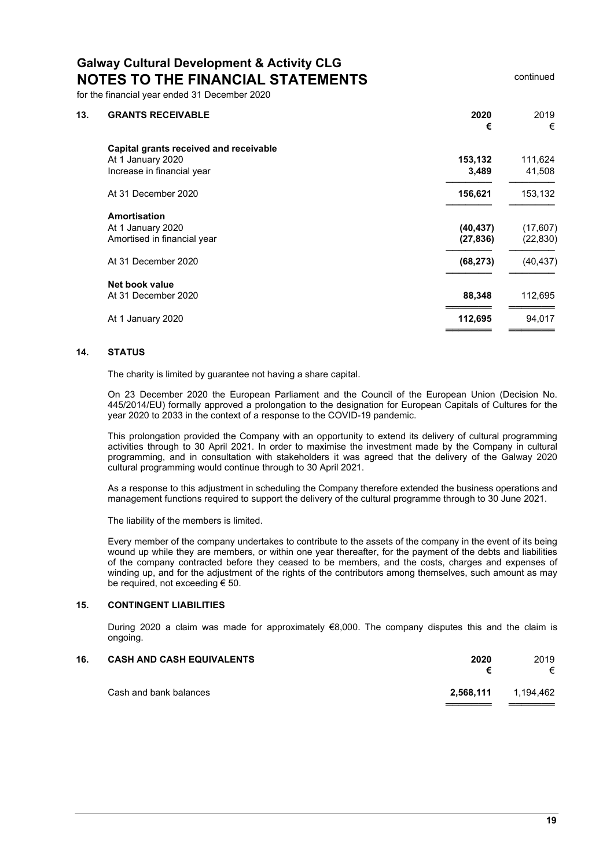for the financial year ended 31 December 2020

| 13. | <b>GRANTS RECEIVABLE</b>               | 2020<br>€ | 2019<br>€ |
|-----|----------------------------------------|-----------|-----------|
|     | Capital grants received and receivable |           |           |
|     | At 1 January 2020                      | 153,132   | 111,624   |
|     | Increase in financial year             | 3,489     | 41,508    |
|     | At 31 December 2020                    | 156,621   | 153,132   |
|     | <b>Amortisation</b>                    |           |           |
|     | At 1 January 2020                      | (40, 437) | (17, 607) |
|     | Amortised in financial year            | (27, 836) | (22, 830) |
|     | At 31 December 2020                    | (68, 273) | (40, 437) |
|     | Net book value                         |           |           |
|     | At 31 December 2020                    | 88,348    | 112,695   |
|     | At 1 January 2020                      | 112,695   | 94,017    |
|     |                                        |           |           |

# 14. STATUS

The charity is limited by guarantee not having a share capital.

On 23 December 2020 the European Parliament and the Council of the European Union (Decision No. 445/2014/EU) formally approved a prolongation to the designation for European Capitals of Cultures for the year 2020 to 2033 in the context of a response to the COVID-19 pandemic.

This prolongation provided the Company with an opportunity to extend its delivery of cultural programming activities through to 30 April 2021. In order to maximise the investment made by the Company in cultural programming, and in consultation with stakeholders it was agreed that the delivery of the Galway 2020 cultural programming would continue through to 30 April 2021.

As a response to this adjustment in scheduling the Company therefore extended the business operations and management functions required to support the delivery of the cultural programme through to 30 June 2021.

The liability of the members is limited.

Every member of the company undertakes to contribute to the assets of the company in the event of its being wound up while they are members, or within one year thereafter, for the payment of the debts and liabilities of the company contracted before they ceased to be members, and the costs, charges and expenses of winding up, and for the adjustment of the rights of the contributors among themselves, such amount as may be required, not exceeding € 50.

### 15. CONTINGENT LIABILITIES

During 2020 a claim was made for approximately €8,000. The company disputes this and the claim is ongoing.

| 16. | <b>CASH AND CASH EQUIVALENTS</b> | 2020      | 2019<br>€ |
|-----|----------------------------------|-----------|-----------|
|     | Cash and bank balances           | 2.568.111 | 1,194,462 |